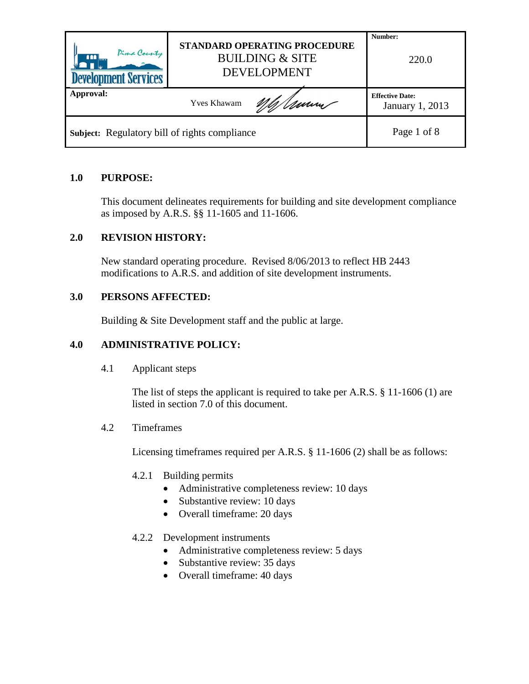| Pima County<br>$m_{\dots}$<br><b>Development Services</b> | STANDARD OPERATING PROCEDURE<br><b>BUILDING &amp; SITE</b><br><b>DEVELOPMENT</b> | Number:<br>220.0                                 |
|-----------------------------------------------------------|----------------------------------------------------------------------------------|--------------------------------------------------|
| Approval:                                                 | <u>Mh/Umm</u><br>Yves Khawam                                                     | <b>Effective Date:</b><br><b>January 1, 2013</b> |
| Subject: Regulatory bill of rights compliance             |                                                                                  | Page 1 of 8                                      |

### **1.0 PURPOSE:**

This document delineates requirements for building and site development compliance as imposed by A.R.S. §§ 11-1605 and 11-1606.

### **2.0 REVISION HISTORY:**

New standard operating procedure. Revised 8/06/2013 to reflect HB 2443 modifications to A.R.S. and addition of site development instruments.

#### **3.0 PERSONS AFFECTED:**

Building & Site Development staff and the public at large.

## **4.0 ADMINISTRATIVE POLICY:**

4.1 Applicant steps

The list of steps the applicant is required to take per A.R.S. § 11-1606 (1) are listed in section 7.0 of this document.

#### 4.2 Timeframes

Licensing timeframes required per A.R.S. § 11-1606 (2) shall be as follows:

#### 4.2.1 Building permits

- Administrative completeness review: 10 days
- Substantive review: 10 days
- Overall timeframe: 20 days

#### 4.2.2 Development instruments

- Administrative completeness review: 5 days
- Substantive review: 35 days
- Overall timeframe: 40 days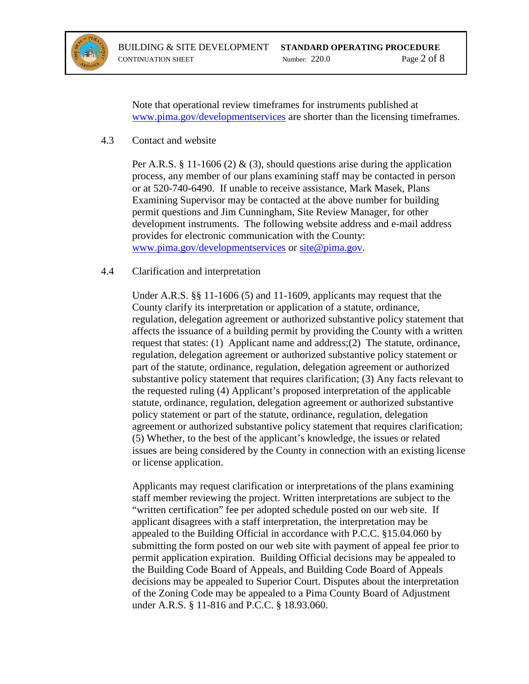

Note that operational review timeframes for instruments published at [www.pima.gov/developmentservices](http://www.pima.gov/developmentservices) are shorter than the licensing timeframes.

#### 4.3 Contact and website

Per A.R.S. § 11-1606 (2) & (3), should questions arise during the application process, any member of our plans examining staff may be contacted in person or at 520-740-6490. If unable to receive assistance, Mark Masek, Plans Examining Supervisor may be contacted at the above number for building permit questions and Jim Cunningham, Site Review Manager, for other development instruments. The following website address and e-mail address provides for electronic communication with the County: [www.pima.gov/developmentservices](http://www.pima.gov/developmentservices) or [site@pima.gov.](mailto:site@pima.gov)

#### 4.4 Clarification and interpretation

Under A.R.S. §§ 11-1606 (5) and 11-1609, applicants may request that the County clarify its interpretation or application of a statute, ordinance, regulation, delegation agreement or authorized substantive policy statement that affects the issuance of a building permit by providing the County with a written request that states: (1) Applicant name and address;(2) The statute, ordinance, regulation, delegation agreement or authorized substantive policy statement or part of the statute, ordinance, regulation, delegation agreement or authorized substantive policy statement that requires clarification; (3) Any facts relevant to the requested ruling (4) Applicant's proposed interpretation of the applicable statute, ordinance, regulation, delegation agreement or authorized substantive policy statement or part of the statute, ordinance, regulation, delegation agreement or authorized substantive policy statement that requires clarification; (5) Whether, to the best of the applicant's knowledge, the issues or related issues are being considered by the County in connection with an existing license or license application.

Applicants may request clarification or interpretations of the plans examining staff member reviewing the project. Written interpretations are subject to the "written certification" fee per adopted schedule posted on our web site. If applicant disagrees with a staff interpretation, the interpretation may be appealed to the Building Official in accordance with P.C.C. §15.04.060 by submitting the form posted on our web site with payment of appeal fee prior to permit application expiration. Building Official decisions may be appealed to the Building Code Board of Appeals, and Building Code Board of Appeals decisions may be appealed to Superior Court. Disputes about the interpretation of the Zoning Code may be appealed to a Pima County Board of Adjustment under A.R.S. § 11-816 and P.C.C. § 18.93.060.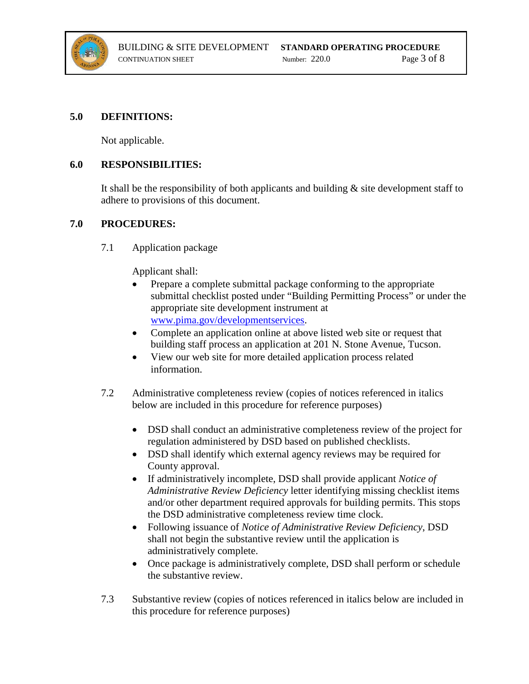

#### **5.0 DEFINITIONS:**

Not applicable.

#### **6.0 RESPONSIBILITIES:**

It shall be the responsibility of both applicants and building  $\&$  site development staff to adhere to provisions of this document.

#### **7.0 PROCEDURES:**

7.1 Application package

Applicant shall:

- Prepare a complete submittal package conforming to the appropriate submittal checklist posted under "Building Permitting Process" or under the appropriate site development instrument at [www.pima.gov/developmentservices.](http://www.pima.gov/developmentservices)
- Complete an application online at above listed web site or request that building staff process an application at 201 N. Stone Avenue, Tucson.
- View our web site for more detailed application process related information.
- 7.2 Administrative completeness review (copies of notices referenced in italics below are included in this procedure for reference purposes)
	- DSD shall conduct an administrative completeness review of the project for regulation administered by DSD based on published checklists.
	- DSD shall identify which external agency reviews may be required for County approval.
	- If administratively incomplete, DSD shall provide applicant *Notice of Administrative Review Deficiency* letter identifying missing checklist items and/or other department required approvals for building permits. This stops the DSD administrative completeness review time clock.
	- Following issuance of *Notice of Administrative Review Deficiency*, DSD shall not begin the substantive review until the application is administratively complete.
	- Once package is administratively complete, DSD shall perform or schedule the substantive review.
- 7.3 Substantive review (copies of notices referenced in italics below are included in this procedure for reference purposes)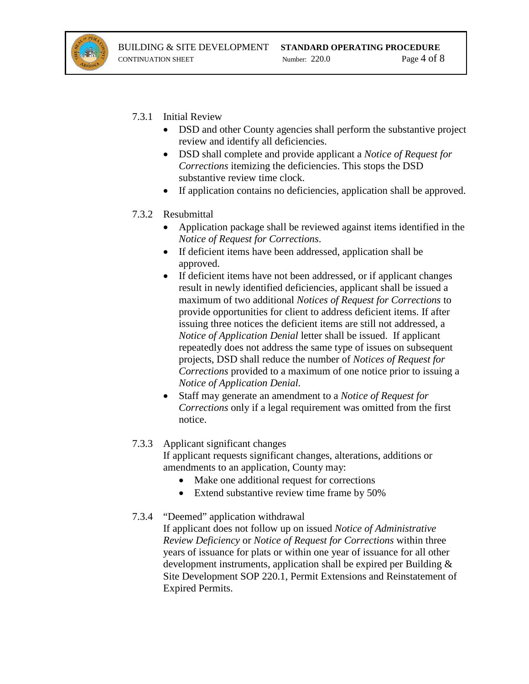

7.3.1 Initial Review

- DSD and other County agencies shall perform the substantive project review and identify all deficiencies.
- DSD shall complete and provide applicant a *Notice of Request for Corrections* itemizing the deficiencies. This stops the DSD substantive review time clock.
- If application contains no deficiencies, application shall be approved.

### 7.3.2 Resubmittal

- Application package shall be reviewed against items identified in the *Notice of Request for Corrections*.
- If deficient items have been addressed, application shall be approved.
- If deficient items have not been addressed, or if applicant changes result in newly identified deficiencies, applicant shall be issued a maximum of two additional *Notices of Request for Corrections* to provide opportunities for client to address deficient items. If after issuing three notices the deficient items are still not addressed, a *Notice of Application Denial* letter shall be issued. If applicant repeatedly does not address the same type of issues on subsequent projects, DSD shall reduce the number of *Notices of Request for Corrections* provided to a maximum of one notice prior to issuing a *Notice of Application Denial.*
- Staff may generate an amendment to a *Notice of Request for Corrections* only if a legal requirement was omitted from the first notice.

## 7.3.3 Applicant significant changes If applicant requests significant changes, alterations, additions or

amendments to an application, County may:

- Make one additional request for corrections
- Extend substantive review time frame by 50%

## 7.3.4 "Deemed" application withdrawal

If applicant does not follow up on issued *Notice of Administrative Review Deficiency* or *Notice of Request for Corrections* within three years of issuance for plats or within one year of issuance for all other development instruments, application shall be expired per Building & Site Development SOP 220.1, Permit Extensions and Reinstatement of Expired Permits.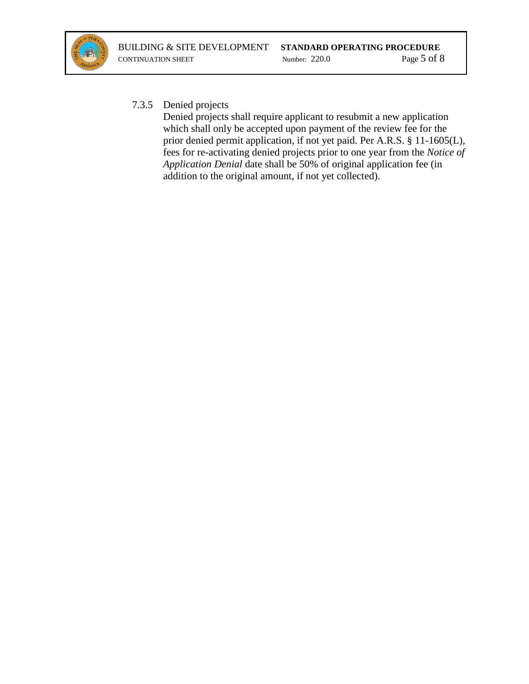

## 7.3.5 Denied projects

Denied projects shall require applicant to resubmit a new application which shall only be accepted upon payment of the review fee for the prior denied permit application, if not yet paid. Per A.R.S. § 11-1605(L), fees for re-activating denied projects prior to one year from the *Notice of Application Denial* date shall be 50% of original application fee (in addition to the original amount, if not yet collected).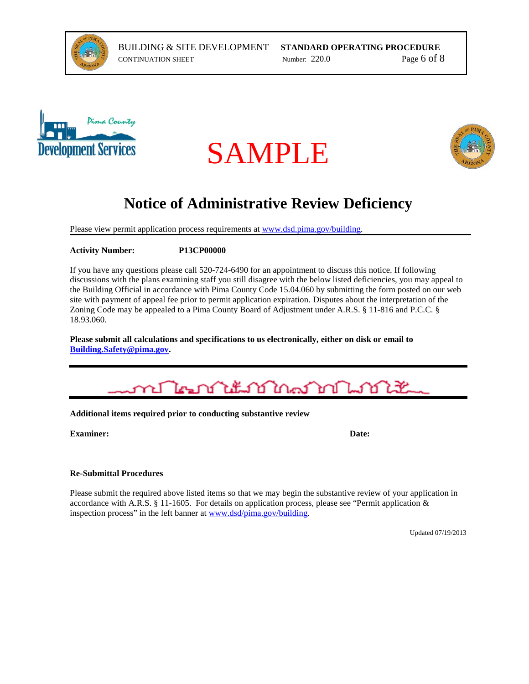







# **Notice of Administrative Review Deficiency**

Please view permit application process requirements at [www.dsd.pima.gov/building.](http://www.dsd.pima.gov/building)

#### **Activity Number: P13CP00000**

If you have any questions please call 520-724-6490 for an appointment to discuss this notice. If following discussions with the plans examining staff you still disagree with the below listed deficiencies, you may appeal to the Building Official in accordance with Pima County Code 15.04.060 by submitting the form posted on our web site with payment of appeal fee prior to permit application expiration. Disputes about the interpretation of the Zoning Code may be appealed to a Pima County Board of Adjustment under A.R.S. § 11-816 and P.C.C. § 18.93.060.

**Please submit all calculations and specifications to us electronically, either on disk or email to [Building.Safety@pima.gov.](mailto:Building.Safety@pima.gov)** 



**Additional items required prior to conducting substantive review**

**Examiner: Date:**

#### **Re-Submittal Procedures**

Please submit the required above listed items so that we may begin the substantive review of your application in accordance with A.R.S. § 11-1605. For details on application process, please see "Permit application & inspection process" in the left banner at [www.dsd/pima.gov/building.](http://www.dsd/pima.gov/building)

Updated 07/19/2013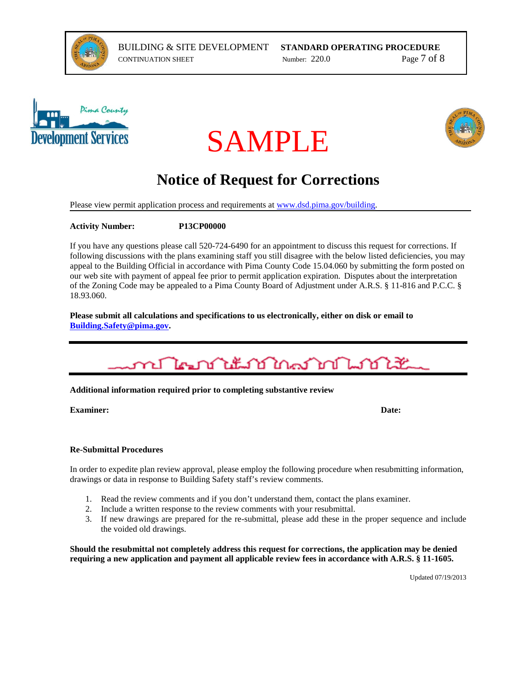



# SAMPLE



# **Notice of Request for Corrections**

Please view permit application process and requirements at www.dsd.pima.gov/building.

**Activity Number: P13CP00000**

If you have any questions please call 520-724-6490 for an appointment to discuss this request for corrections. If following discussions with the plans examining staff you still disagree with the below listed deficiencies, you may appeal to the Building Official in accordance with Pima County Code 15.04.060 by submitting the form posted on our web site with payment of appeal fee prior to permit application expiration. Disputes about the interpretation of the Zoning Code may be appealed to a Pima County Board of Adjustment under A.R.S. § 11-816 and P.C.C. § 18.93.060.

**Please submit all calculations and specifications to us electronically, either on disk or email to [Building.Safety@pima.gov.](mailto:Building.Safety@pima.gov)** 



#### **Additional information required prior to completing substantive review**

**Examiner: Date:**

#### **Re-Submittal Procedures**

In order to expedite plan review approval, please employ the following procedure when resubmitting information, drawings or data in response to Building Safety staff's review comments.

- 1. Read the review comments and if you don't understand them, contact the plans examiner.
- 2. Include a written response to the review comments with your resubmittal.
- 3. If new drawings are prepared for the re-submittal, please add these in the proper sequence and include the voided old drawings.

**Should the resubmittal not completely address this request for corrections, the application may be denied requiring a new application and payment all applicable review fees in accordance with A.R.S. § 11-1605.**

Updated 07/19/2013